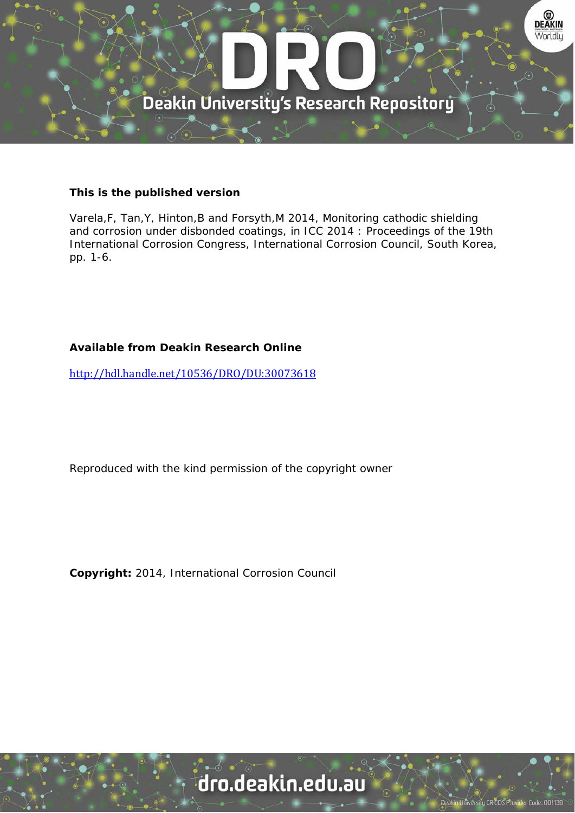

### **This is the published version**

Varela,F, Tan,Y, Hinton,B and Forsyth,M 2014, Monitoring cathodic shielding and corrosion under disbonded coatings, in ICC 2014 : Proceedings of the 19th International Corrosion Congress, International Corrosion Council, South Korea, pp. 1-6.

### **Available from Deakin Research Online**

http://hdl.handle.net/10536/DRO/DU:30073618

Reproduced with the kind permission of the copyright owner

**Copyright:** 2014, International Corrosion Council

# dro.deakin.edu.au

University CRICOS Pro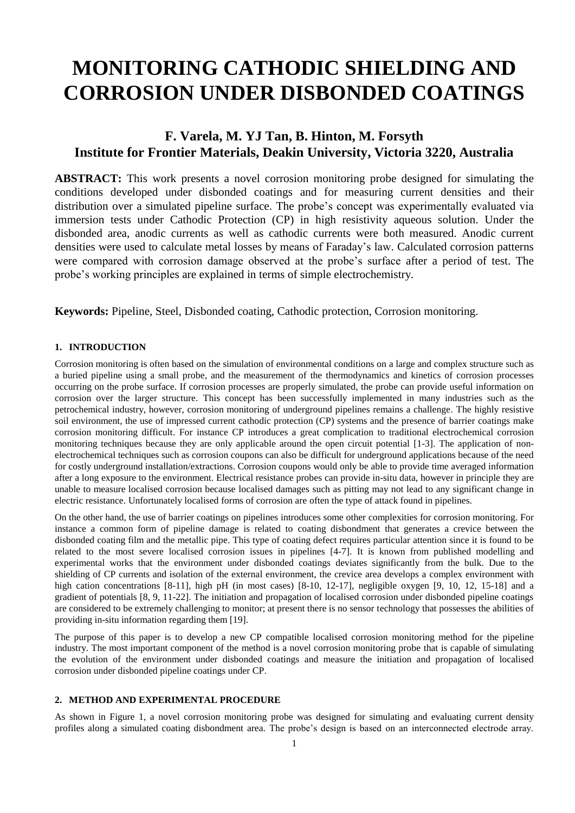# **MONITORING CATHODIC SHIELDING AND CORROSION UNDER DISBONDED COATINGS**

## **F. Varela, M. YJ Tan, B. Hinton, M. Forsyth Institute for Frontier Materials, Deakin University, Victoria 3220, Australia**

**ABSTRACT:** This work presents a novel corrosion monitoring probe designed for simulating the conditions developed under disbonded coatings and for measuring current densities and their distribution over a simulated pipeline surface. The probe's concept was experimentally evaluated via immersion tests under Cathodic Protection (CP) in high resistivity aqueous solution. Under the disbonded area, anodic currents as well as cathodic currents were both measured. Anodic current densities were used to calculate metal losses by means of Faraday's law. Calculated corrosion patterns were compared with corrosion damage observed at the probe's surface after a period of test. The probe's working principles are explained in terms of simple electrochemistry.

**Keywords:** Pipeline, Steel, Disbonded coating, Cathodic protection, Corrosion monitoring.

#### **1. INTRODUCTION**

Corrosion monitoring is often based on the simulation of environmental conditions on a large and complex structure such as a buried pipeline using a small probe, and the measurement of the thermodynamics and kinetics of corrosion processes occurring on the probe surface. If corrosion processes are properly simulated, the probe can provide useful information on corrosion over the larger structure. This concept has been successfully implemented in many industries such as the petrochemical industry, however, corrosion monitoring of underground pipelines remains a challenge. The highly resistive soil environment, the use of impressed current cathodic protection (CP) systems and the presence of barrier coatings make corrosion monitoring difficult. For instance CP introduces a great complication to traditional electrochemical corrosion monitoring techniques because they are only applicable around the open circuit potential [\[1-3\]](#page-5-0). The application of nonelectrochemical techniques such as corrosion coupons can also be difficult for underground applications because of the need for costly underground installation/extractions. Corrosion coupons would only be able to provide time averaged information after a long exposure to the environment. Electrical resistance probes can provide in-situ data, however in principle they are unable to measure localised corrosion because localised damages such as pitting may not lead to any significant change in electric resistance. Unfortunately localised forms of corrosion are often the type of attack found in pipelines.

On the other hand, the use of barrier coatings on pipelines introduces some other complexities for corrosion monitoring. For instance a common form of pipeline damage is related to coating disbondment that generates a crevice between the disbonded coating film and the metallic pipe. This type of coating defect requires particular attention since it is found to be related to the most severe localised corrosion issues in pipelines [\[4-7\]](#page-5-1). It is known from published modelling and experimental works that the environment under disbonded coatings deviates significantly from the bulk. Due to the shielding of CP currents and isolation of the external environment, the crevice area develops a complex environment with high cation concentrations [\[8-11\]](#page-5-2), high pH (in most cases) [\[8-10,](#page-5-2) [12-17\]](#page-6-0), negligible oxygen [\[9,](#page-5-3) [10,](#page-5-4) [12,](#page-6-0) [15-18\]](#page-6-1) and a gradient of potentials [\[8,](#page-5-2) [9,](#page-5-3) [11-22\]](#page-5-5). The initiation and propagation of localised corrosion under disbonded pipeline coatings are considered to be extremely challenging to monitor; at present there is no sensor technology that possesses the abilities of providing in-situ information regarding them [\[19\]](#page-6-2).

The purpose of this paper is to develop a new CP compatible localised corrosion monitoring method for the pipeline industry. The most important component of the method is a novel corrosion monitoring probe that is capable of simulating the evolution of the environment under disbonded coatings and measure the initiation and propagation of localised corrosion under disbonded pipeline coatings under CP.

#### **2. METHOD AND EXPERIMENTAL PROCEDURE**

As shown in Figure 1, a novel corrosion monitoring probe was designed for simulating and evaluating current density profiles along a simulated coating disbondment area. The probe's design is based on an interconnected electrode array.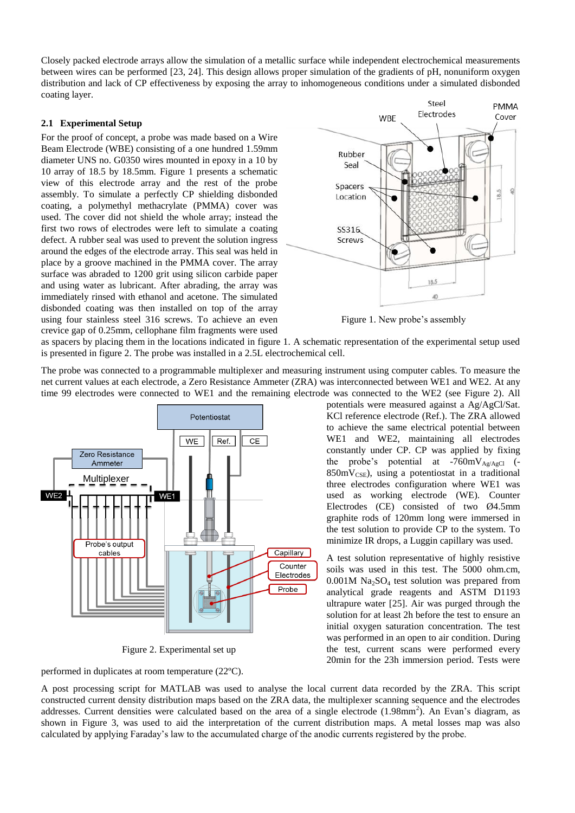Closely packed electrode arrays allow the simulation of a metallic surface while independent electrochemical measurements between wires can be performed [\[23,](#page-6-3) [24\]](#page-6-4). This design allows proper simulation of the gradients of pH, nonuniform oxygen distribution and lack of CP effectiveness by exposing the array to inhomogeneous conditions under a simulated disbonded coating layer.

#### **2.1 Experimental Setup**

For the proof of concept, a probe was made based on a Wire Beam Electrode (WBE) consisting of a one hundred 1.59mm diameter UNS no. G0350 wires mounted in epoxy in a 10 by 10 array of 18.5 by 18.5mm. Figure 1 presents a schematic view of this electrode array and the rest of the probe assembly. To simulate a perfectly CP shielding disbonded coating, a polymethyl methacrylate (PMMA) cover was used. The cover did not shield the whole array; instead the first two rows of electrodes were left to simulate a coating defect. A rubber seal was used to prevent the solution ingress around the edges of the electrode array. This seal was held in place by a groove machined in the PMMA cover. The array surface was abraded to 1200 grit using silicon carbide paper and using water as lubricant. After abrading, the array was immediately rinsed with ethanol and acetone. The simulated disbonded coating was then installed on top of the array using four stainless steel 316 screws. To achieve an even crevice gap of 0.25mm, cellophane film fragments were used



Figure 1. New probe's assembly

as spacers by placing them in the locations indicated in figure 1. A schematic representation of the experimental setup used is presented in figure 2. The probe was installed in a 2.5L electrochemical cell.

The probe was connected to a programmable multiplexer and measuring instrument using computer cables. To measure the net current values at each electrode, a Zero Resistance Ammeter (ZRA) was interconnected between WE1 and WE2. At any time 99 electrodes were connected to WE1 and the remaining electrode was connected to the WE2 (see Figure 2). All



Figure 2. Experimental set up

performed in duplicates at room temperature (22ºC).

potentials were measured against a Ag/AgCl/Sat. KCl reference electrode (Ref.). The ZRA allowed to achieve the same electrical potential between WE1 and WE2, maintaining all electrodes constantly under CP. CP was applied by fixing the probe's potential at  $-760 \text{mV}_{\text{Ag/AgCl}}$  (- $850mV<sub>CSE</sub>$ , using a potentiostat in a traditional three electrodes configuration where WE1 was used as working electrode (WE). Counter Electrodes (CE) consisted of two Ø4.5mm graphite rods of 120mm long were immersed in the test solution to provide CP to the system. To minimize IR drops, a Luggin capillary was used.

A test solution representative of highly resistive soils was used in this test. The 5000 ohm.cm,  $0.001M$  Na<sub>2</sub>SO<sub>4</sub> test solution was prepared from analytical grade reagents and ASTM D1193 ultrapure water [\[25\]](#page-6-5). Air was purged through the solution for at least 2h before the test to ensure an initial oxygen saturation concentration. The test was performed in an open to air condition. During the test, current scans were performed every 20min for the 23h immersion period. Tests were

A post processing script for MATLAB was used to analyse the local current data recorded by the ZRA. This script constructed current density distribution maps based on the ZRA data, the multiplexer scanning sequence and the electrodes addresses. Current densities were calculated based on the area of a single electrode  $(1.98$ mm<sup>2</sup>). An Evan's diagram, as shown in Figure 3, was used to aid the interpretation of the current distribution maps. A metal losses map was also calculated by applying Faraday's law to the accumulated charge of the anodic currents registered by the probe.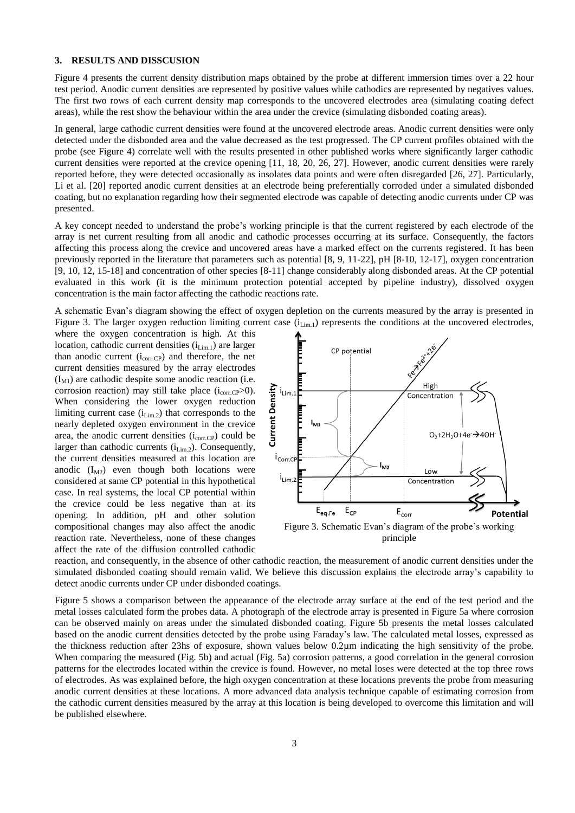#### **3. RESULTS AND DISSCUSION**

Figure 4 presents the current density distribution maps obtained by the probe at different immersion times over a 22 hour test period. Anodic current densities are represented by positive values while cathodics are represented by negatives values. The first two rows of each current density map corresponds to the uncovered electrodes area (simulating coating defect areas), while the rest show the behaviour within the area under the crevice (simulating disbonded coating areas).

In general, large cathodic current densities were found at the uncovered electrode areas. Anodic current densities were only detected under the disbonded area and the value decreased as the test progressed. The CP current profiles obtained with the probe (see Figure 4) correlate well with the results presented in other published works where significantly larger cathodic current densities were reported at the crevice opening [\[11,](#page-5-5) [18,](#page-6-6) [20,](#page-6-7) [26,](#page-6-8) [27\]](#page-6-9). However, anodic current densities were rarely reported before, they were detected occasionally as insolates data points and were often disregarded [\[26,](#page-6-8) [27\]](#page-6-9). Particularly, Li et al. [\[20\]](#page-6-7) reported anodic current densities at an electrode being preferentially corroded under a simulated disbonded coating, but no explanation regarding how their segmented electrode was capable of detecting anodic currents under CP was presented.

A key concept needed to understand the probe's working principle is that the current registered by each electrode of the array is net current resulting from all anodic and cathodic processes occurring at its surface. Consequently, the factors affecting this process along the crevice and uncovered areas have a marked effect on the currents registered. It has been previously reported in the literature that parameters such as potential [\[8,](#page-5-2) [9,](#page-5-3) [11-22\]](#page-5-5), pH [\[8-10,](#page-5-2) [12-17\]](#page-6-0), oxygen concentration [\[9,](#page-5-3) [10,](#page-5-4) [12,](#page-6-0) [15-18\]](#page-6-1) and concentration of other species [\[8-11\]](#page-5-2) change considerably along disbonded areas. At the CP potential evaluated in this work (it is the minimum protection potential accepted by pipeline industry), dissolved oxygen concentration is the main factor affecting the cathodic reactions rate.

A schematic Evan's diagram showing the effect of oxygen depletion on the currents measured by the array is presented in Figure 3. The larger oxygen reduction limiting current case  $(i_{Lim,1})$  represents the conditions at the uncovered electrodes,

where the oxygen concentration is high. At this location, cathodic current densities  $(i_{Lim,1})$  are larger than anodic current  $(i_{corr.CP})$  and therefore, the net current densities measured by the array electrodes  $(I_{\text{M1}})$  are cathodic despite some anodic reaction (i.e. corrosion reaction) may still take place  $(i_{corr.CP} > 0)$ . When considering the lower oxygen reduction limiting current case  $(i_{Lim,2})$  that corresponds to the nearly depleted oxygen environment in the crevice area, the anodic current densities  $(i_{corr,CP})$  could be larger than cathodic currents  $(i_{Lim.2})$ . Consequently, the current densities measured at this location are anodic  $(I_{M2})$  even though both locations were considered at same CP potential in this hypothetical case. In real systems, the local CP potential within the crevice could be less negative than at its opening. In addition, pH and other solution compositional changes may also affect the anodic reaction rate. Nevertheless, none of these changes affect the rate of the diffusion controlled cathodic



Figure 3. Schematic Evan's diagram of the probe's working principle

reaction, and consequently, in the absence of other cathodic reaction, the measurement of anodic current densities under the simulated disbonded coating should remain valid. We believe this discussion explains the electrode array's capability to detect anodic currents under CP under disbonded coatings.

Figure 5 shows a comparison between the appearance of the electrode array surface at the end of the test period and the metal losses calculated form the probes data. A photograph of the electrode array is presented in Figure 5a where corrosion can be observed mainly on areas under the simulated disbonded coating. Figure 5b presents the metal losses calculated based on the anodic current densities detected by the probe using Faraday's law. The calculated metal losses, expressed as the thickness reduction after 23hs of exposure, shown values below 0.2µm indicating the high sensitivity of the probe. When comparing the measured (Fig. 5b) and actual (Fig. 5a) corrosion patterns, a good correlation in the general corrosion patterns for the electrodes located within the crevice is found. However, no metal loses were detected at the top three rows of electrodes. As was explained before, the high oxygen concentration at these locations prevents the probe from measuring anodic current densities at these locations. A more advanced data analysis technique capable of estimating corrosion from the cathodic current densities measured by the array at this location is being developed to overcome this limitation and will be published elsewhere.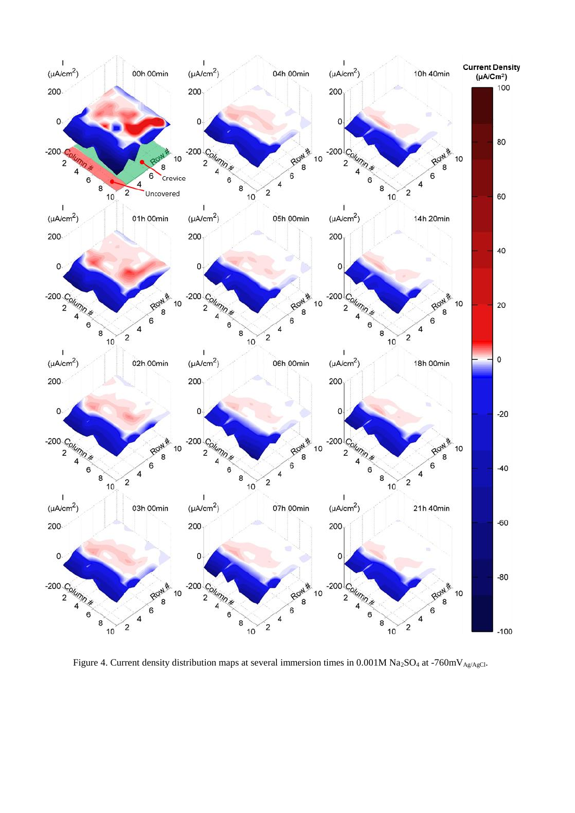

Figure 4. Current density distribution maps at several immersion times in  $0.001M$  Na<sub>2</sub>SO<sub>4</sub> at -760mV<sub>Ag/AgCl</sub>.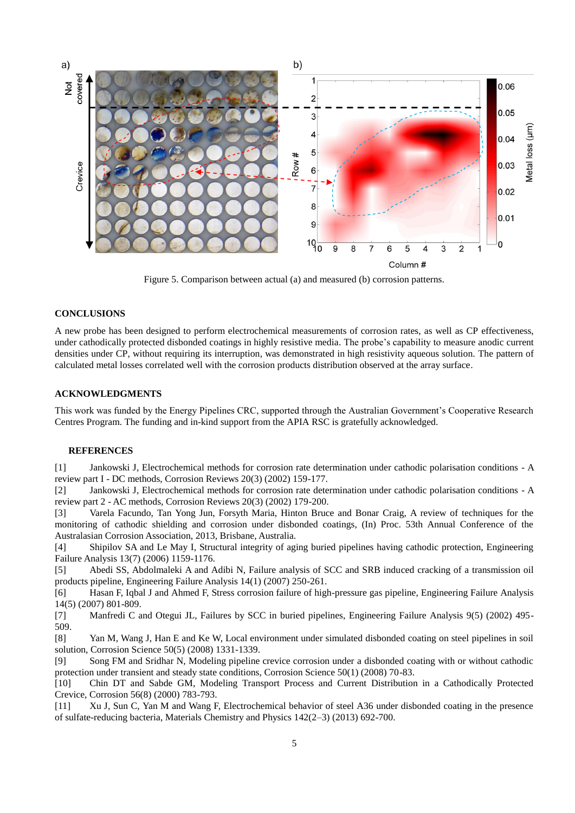

Figure 5. Comparison between actual (a) and measured (b) corrosion patterns.

#### **CONCLUSIONS**

A new probe has been designed to perform electrochemical measurements of corrosion rates, as well as CP effectiveness, under cathodically protected disbonded coatings in highly resistive media. The probe's capability to measure anodic current densities under CP, without requiring its interruption, was demonstrated in high resistivity aqueous solution. The pattern of calculated metal losses correlated well with the corrosion products distribution observed at the array surface.

#### **ACKNOWLEDGMENTS**

This work was funded by the Energy Pipelines CRC, supported through the Australian Government's Cooperative Research Centres Program. The funding and in-kind support from the APIA RSC is gratefully acknowledged.

#### **REFERENCES**

<span id="page-5-0"></span>[1] Jankowski J, Electrochemical methods for corrosion rate determination under cathodic polarisation conditions - A review part I - DC methods, Corrosion Reviews 20(3) (2002) 159-177.

[2] Jankowski J, Electrochemical methods for corrosion rate determination under cathodic polarisation conditions - A review part 2 - AC methods, Corrosion Reviews 20(3) (2002) 179-200.

[3] Varela Facundo, Tan Yong Jun, Forsyth Maria, Hinton Bruce and Bonar Craig, A review of techniques for the monitoring of cathodic shielding and corrosion under disbonded coatings, (In) Proc. 53th Annual Conference of the Australasian Corrosion Association, 2013, Brisbane, Australia.

<span id="page-5-1"></span>[4] Shipilov SA and Le May I, Structural integrity of aging buried pipelines having cathodic protection, Engineering Failure Analysis 13(7) (2006) 1159-1176.

[5] Abedi SS, Abdolmaleki A and Adibi N, Failure analysis of SCC and SRB induced cracking of a transmission oil products pipeline, Engineering Failure Analysis 14(1) (2007) 250-261.

[6] Hasan F, Iqbal J and Ahmed F, Stress corrosion failure of high-pressure gas pipeline, Engineering Failure Analysis 14(5) (2007) 801-809.

[7] Manfredi C and Otegui JL, Failures by SCC in buried pipelines, Engineering Failure Analysis 9(5) (2002) 495- 509.

<span id="page-5-2"></span>[8] Yan M, Wang J, Han E and Ke W, Local environment under simulated disbonded coating on steel pipelines in soil solution, Corrosion Science 50(5) (2008) 1331-1339.

<span id="page-5-3"></span>[9] Song FM and Sridhar N, Modeling pipeline crevice corrosion under a disbonded coating with or without cathodic protection under transient and steady state conditions, Corrosion Science 50(1) (2008) 70-83.

<span id="page-5-4"></span>[10] Chin DT and Sabde GM, Modeling Transport Process and Current Distribution in a Cathodically Protected Crevice, Corrosion 56(8) (2000) 783-793.

<span id="page-5-5"></span>[11] Xu J, Sun C, Yan M and Wang F, Electrochemical behavior of steel A36 under disbonded coating in the presence of sulfate-reducing bacteria, Materials Chemistry and Physics 142(2–3) (2013) 692-700.